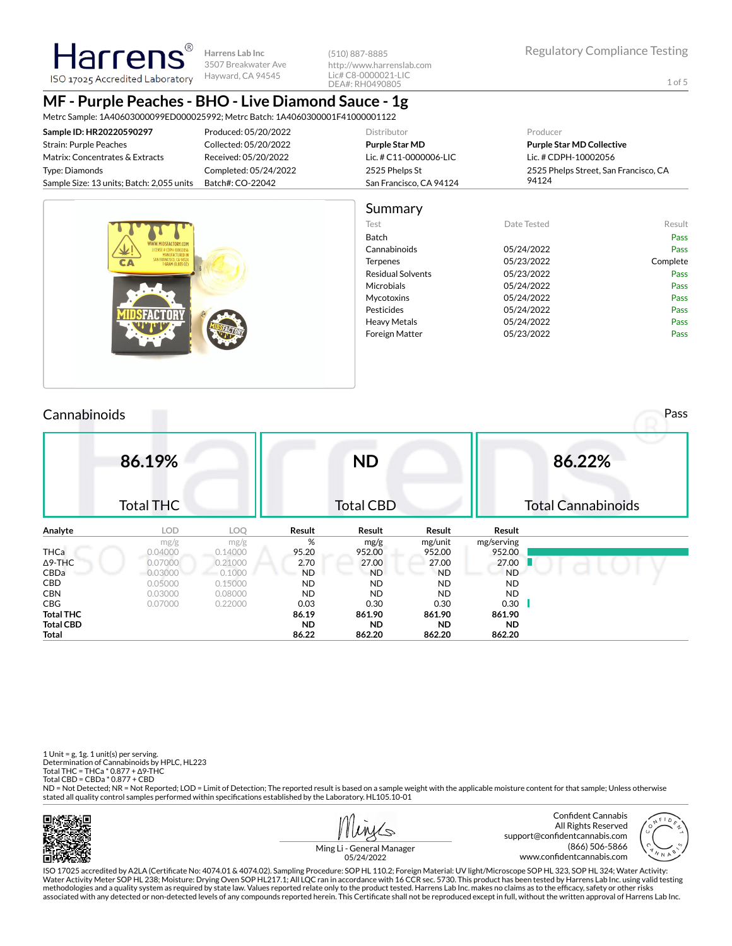Harrer ISO 17025 Accredited Laboratory

**Harrens Lab Inc** 3507 Breakwater Ave Hayward, CA 94545

(510) 887-8885 http://www.harrenslab.com Lic# C8-0000021-LIC DEA#: RH0490805

1 of 5

## **MF - Purple Peaches - BHO - Live Diamond Sauce - 1g**

Metrc Sample: 1A40603000099ED000025992; Metrc Batch: 1A4060300001F41000001122

| Sample ID: HR20220590297                  | Produced: 05/20/2022  | Distributor             | Producer                              |
|-------------------------------------------|-----------------------|-------------------------|---------------------------------------|
| Strain: Purple Peaches                    | Collected: 05/20/2022 | Purple Star MD          | <b>Purple Star MD Collective</b>      |
| Matrix: Concentrates & Extracts           | Received: 05/20/2022  | Lic. # C11-0000006-LIC  | Lic. # CDPH-10002056                  |
| Type: Diamonds                            | Completed: 05/24/2022 | 2525 Phelps St          | 2525 Phelps Street, San Francisco, CA |
| Sample Size: 13 units; Batch: 2,055 units | Batch#: CO-22042      | San Francisco, CA 94124 | 94124                                 |
|                                           |                       |                         |                                       |



#### **Cannabinoids** Pass **Pass 86.19%** Total THC **ND** Total CBD **86.22%** Total Cannabinoids **Analyte LOD LOQ Result Result Result Result** mg/g mg/g  $mg/g$  % mg/g mg/unit mg/serving<br>0.04000 0.14000 95.20 952.00 952.00 952.00 THCa 0.04000 0.14000 95.20 952.00 952.00 952.00 Δ9-THC 0.07000 0.21000 **2.70 27.00 27.00 27.00** 27.00 CBDa 0.03000 0.1000 ND ND ND ND CBD 0.05000 0.15000 ND ND ND ND CBN 0.03000 0.08000 ND ND ND ND CBG 0.07000 0.22000 0.03 0.30 0.30 0.30 **Total THC 86.19 861.90 861.90 861.90 Total CBD ND ND ND ND Total 86.22 862.20 862.20 862.20**

1 Unit =  $g$ , 1 $g$ . 1 unit(s) per serving. Determination of Cannabinoids by HPLC, HL223 Total THC = THCa \* 0.877 + ∆9-THC Total CBD = CBDa \* 0.877 + CBD

ND = Not Detected; NR = Not Reported; LOD = Limit of Detection; The reported result is based on a sample weight with the applicable moisture content for that sample; Unless otherwise stated all quality control samples performed within specifications established by the Laboratory. HL105.10-01



 $\mathcal{L}$ 



Ming Li - General Manager 05/24/2022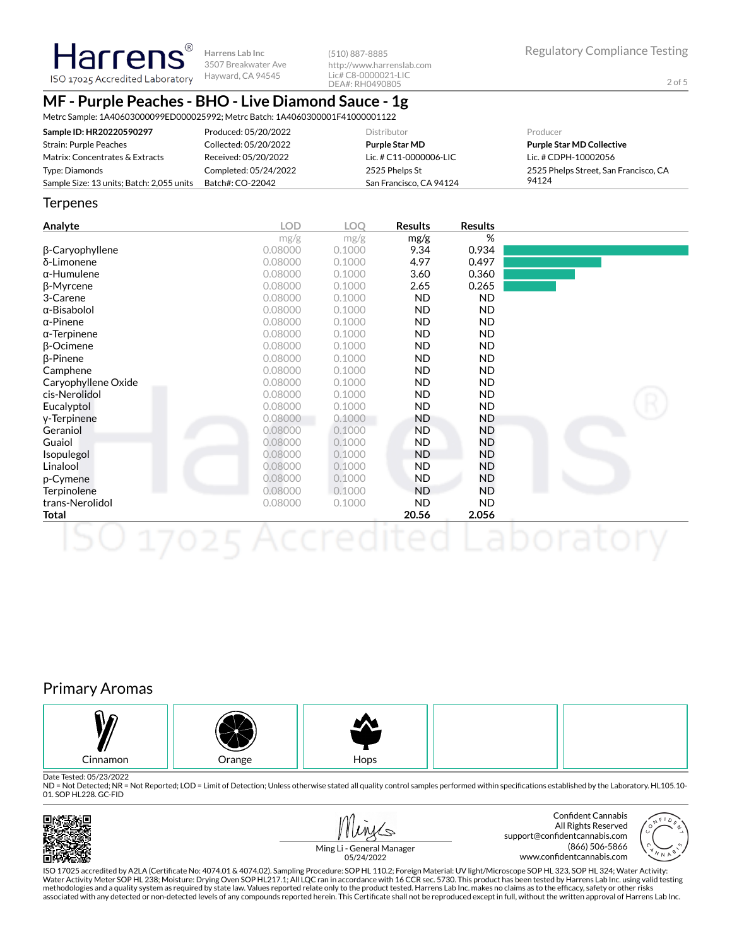2 of 5

# **Harrens** ISO 17025 Accredited Laboratory Hayward, CA 94545

**Harrens Lab Inc** 3507 Breakwater Ave

(510) 887-8885 http://www.harrenslab.com Lic# C8-0000021-LIC DEA#: RH0490805

## **MF - Purple Peaches - BHO - Live Diamond Sauce - 1g**

Metrc Sample: 1A40603000099ED000025992; Metrc Batch: 1A4060300001F41000001122

| Sample ID: HR20220590297                  | Produced: 05/20/2022  | <b>Distributor</b>      | Producer                              |
|-------------------------------------------|-----------------------|-------------------------|---------------------------------------|
| Strain: Purple Peaches                    | Collected: 05/20/2022 | <b>Purple Star MD</b>   | <b>Purple Star MD Collective</b>      |
| Matrix: Concentrates & Extracts           | Received: 05/20/2022  | Lic. # C11-0000006-LIC  | Lic. # CDPH-10002056                  |
| Type: Diamonds                            | Completed: 05/24/2022 | 2525 Phelps St          | 2525 Phelps Street, San Francisco, CA |
| Sample Size: 13 units; Batch: 2,055 units | Batch#: CO-22042      | San Francisco, CA 94124 | 94124                                 |

#### **Terpenes**

| <b>Analyte</b>      | <b>LOD</b> | <b>LOO</b> | <b>Results</b> | <b>Results</b> |  |
|---------------------|------------|------------|----------------|----------------|--|
|                     | mg/g       | mg/g       | mg/g           | %              |  |
| β-Caryophyllene     | 0.08000    | 0.1000     | 9.34           | 0.934          |  |
| δ-Limonene          | 0.08000    | 0.1000     | 4.97           | 0.497          |  |
| $\alpha$ -Humulene  | 0.08000    | 0.1000     | 3.60           | 0.360          |  |
| β-Myrcene           | 0.08000    | 0.1000     | 2.65           | 0.265          |  |
| 3-Carene            | 0.08000    | 0.1000     | <b>ND</b>      | <b>ND</b>      |  |
| $\alpha$ -Bisabolol | 0.08000    | 0.1000     | <b>ND</b>      | <b>ND</b>      |  |
| $\alpha$ -Pinene    | 0.08000    | 0.1000     | <b>ND</b>      | <b>ND</b>      |  |
| $\alpha$ -Terpinene | 0.08000    | 0.1000     | <b>ND</b>      | <b>ND</b>      |  |
| $\beta$ -Ocimene    | 0.08000    | 0.1000     | <b>ND</b>      | <b>ND</b>      |  |
| $\beta$ -Pinene     | 0.08000    | 0.1000     | <b>ND</b>      | <b>ND</b>      |  |
| Camphene            | 0.08000    | 0.1000     | <b>ND</b>      | ND.            |  |
| Caryophyllene Oxide | 0.08000    | 0.1000     | <b>ND</b>      | ND.            |  |
| cis-Nerolidol       | 0.08000    | 0.1000     | <b>ND</b>      | ND.            |  |
| Eucalyptol          | 0.08000    | 0.1000     | <b>ND</b>      | <b>ND</b>      |  |
| y-Terpinene         | 0.08000    | 0.1000     | <b>ND</b>      | ND             |  |
| Geraniol            | 0.08000    | 0.1000     | <b>ND</b>      | ND             |  |
| Guaiol              | 0.08000    | 0.1000     | <b>ND</b>      | ND             |  |
| Isopulegol          | 0.08000    | 0.1000     | <b>ND</b>      | ND             |  |
| Linalool            | 0.08000    | 0.1000     | <b>ND</b>      | ND             |  |
| p-Cymene            | 0.08000    | 0.1000     | ND.            | ND             |  |
| Terpinolene         | 0.08000    | 0.1000     | <b>ND</b>      | <b>ND</b>      |  |
| trans-Nerolidol     | 0.08000    | 0.1000     | <b>ND</b>      | <b>ND</b>      |  |
| Total               |            |            | 20.56          | 2.056          |  |
|                     |            |            |                |                |  |

## Primary Aromas



Date Tested: 05/23/2022

ND = Not Detected; NR = Not Reported; LOD = Limit of Detection; Unless otherwise stated all quality control samples performed within specifications established by the Laboratory. HL105.10-01. SOP HL228. GC-FID



Confident Cannabis All Rights Reserved support@confidentcannabis.com (866) 506-5866 www.confidentcannabis.com



Ming Li - General Manager 05/24/2022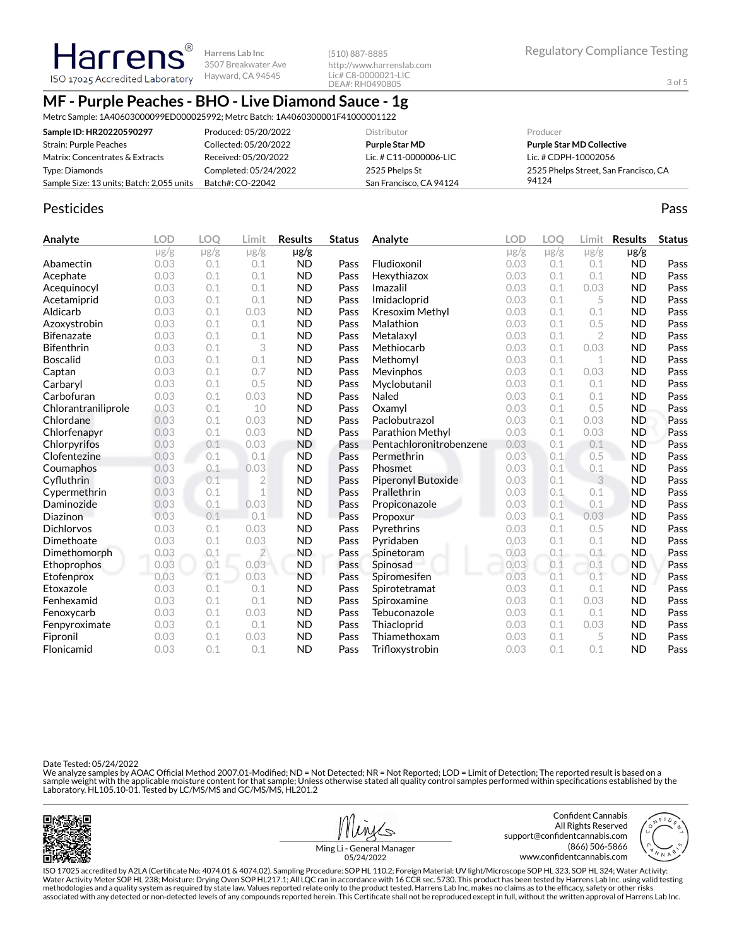**Harrens Lab Inc** 3507 Breakwater Ave Hayward, CA 94545

(510) 887-8885 http://www.harrenslab.com Lic# C8-0000021-LIC DEA#: RH0490805

3 of 5

## **MF - Purple Peaches - BHO - Live Diamond Sauce - 1g**

Metrc Sample: 1A40603000099ED000025992; Metrc Batch: 1A4060300001F41000001122

| Sample ID: HR20220590297                  | Produced: 05/20/2022  | <b>Distributor</b>      | Producer                              |
|-------------------------------------------|-----------------------|-------------------------|---------------------------------------|
| Strain: Purple Peaches                    | Collected: 05/20/2022 | <b>Purple Star MD</b>   | <b>Purple Star MD Collective</b>      |
| Matrix: Concentrates & Extracts           | Received: 05/20/2022  | Lic. # C11-0000006-LIC  | Lic. # CDPH-10002056                  |
| Type: Diamonds                            | Completed: 05/24/2022 | 2525 Phelps St          | 2525 Phelps Street, San Francisco, CA |
| Sample Size: 13 units; Batch: 2,055 units | Batch#: CO-22042      | San Francisco, CA 94124 | 94124                                 |

#### Pesticides **Passage Community Community Community** Passes and the extension of the extension of the extension of the extension of the extension of the extension of the extension of the extension of the extension of the ext

**Analyte LOD LOQ Limit Results Status**  $\mu$ g/g  $\mu$ g/g  $\mu$ g/g  $\mu$ g/g Abamectin 0.03 0.1 0.1 ND Pass Acephate 0.03 0.1 0.1 ND Pass Acequinocyl 0.03 0.1 0.1 ND Pass Acetamiprid 0.03 0.1 0.1 ND Pass Aldicarb 0.03 0.1 0.03 ND Pass Azoxystrobin 0.03 0.1 0.1 ND Pass Bifenazate 0.03 0.1 0.1 ND Pass Bifenthrin 0.03 0.1 3 ND Pass Boscalid 0.03 0.1 0.1 ND Pass **Captan 12.1 0.03 0.1 0.7 ND Pass** Carbaryl 0.03 0.1 0.5 ND Pass Carbofuran 0.03 0.1 0.03 ND Pass Chlorantraniliprole 0.03 0.1 10 ND Pass Chlordane 0.03 0.1 0.03 ND Pass Chlorfenapyr 0.03 0.1 0.03 ND Pass Chlorpyrifos 0.03 0.1 0.03 ND Pass Clofentezine 0.03 0.1 0.1 ND Pass Coumaphos 0.03 0.1 0.03 ND Pass Cyfluthrin 0.03 0.1 2 ND Pass Cypermethrin 0.03 0.1 1 ND Pass **Daminozide** 0.03 0.1 0.03 ND Pass **Diazinon** 0.03 0.1 0.1 ND Pass Dichlorvos 0.03 0.1 0.03 ND Pass Dimethoate 0.03 0.1 0.03 ND Pass Dimethomorph 0.03 0.1 2 ND Pass Ethoprophos 0.03 0.1 0.03 ND Pass Etofenprox 0.03 0.1 0.03 ND Pass Etoxazole 0.03 0.1 0.1 ND Pass Fenhexamid 0.03 0.1 0.1 ND Pass Fenoxycarb 0.03 0.1 0.03 ND Pass Fenpyroximate 0.03 0.1 0.1 ND Pass Fipronil 0.03 0.1 0.03 ND Pass Flonicamid 0.03 0.1 0.1 ND Pass **Analyte LOD LOQ Limit Results Status** µg/g µg/g µg/g µg/g Fludioxonil 0.03 0.1 0.1 ND Pass Hexythiazox 0.03 0.1 0.1 ND Pass **Imazalil 11 0.03 0.1 0.03 ND Pass** Imidacloprid 0.03 0.1 5 ND Pass Kresoxim Methyl  $0.03$  0.1 0.1 ND Pass **Malathion** 0.03 0.1 0.5 **ND Pass** Metalaxyl 0.03 0.1 2 ND Pass Methiocarb 0.03 0.1 0.03 ND Pass Methomyl 0.03 0.1 1 ND Pass Mevinphos 0.03 0.1 0.03 ND Pass Myclobutanil 0.03 0.1 0.1 ND Pass **Naled 1200 0.03 0.1 0.1 ND Pass Oxamyl** 0.03 0.1 0.5 **ND Pass** Paclobutrazol 0.03 0.1 0.03 ND Pass Parathion Methyl 0.03 0.1 0.03 ND Pass Pentachloronitrobenzene 0.03 0.1 0.1 ND Pass Permethrin 0.03 0.1 0.5 ND Pass Phosmet 0.03 0.1 0.1 ND Pass Piperonyl Butoxide 0.03 0.1 3 ND Pass Prallethrin 0.03 0.1 0.1 ND Pass Propiconazole 0.03 0.1 0.1 ND Pass Propoxur 0.03 0.1 0.03 ND Pass Pyrethrins 0.03 0.1 0.5 ND Pass Pyridaben 0.03 0.1 0.1 ND Pass Spinetoram 0.03 0.1 0.1 ND Pass Spinosad 0.03 0.1 0.1 ND Pass Spiromesifen 0.03 0.1 0.1 ND Pass Spirotetramat 0.03 0.1 0.1 ND Pass Spiroxamine 0.03 0.1 0.03 ND Pass Tebuconazole  $0.03$   $0.1$  0.1 ND Pass Thiacloprid 0.03 0.1 0.03 ND Pass Thiamethoxam 0.03 0.1 5 ND Pass Trifloxystrobin 0.03 0.1 0.1 ND Pass

Date Tested: 05/24/2022

We analyze samples by AOAC Official Method 2007.01-Modified; ND = Not Detected; NR = Not Reported; LOD = Limit of Detection; The reported result is based on a sample weight with the applicable moisture content for that sample; Unless otherwise stated all quality control samples performed within specifications established by the<br>Laboratory. HL105.10-01. Tested by LC/MS/MS and GC/







Ming Li - General Manager 05/24/2022

ISO 17025 accredited by A2LA (Certicate No: 4074.01 & 4074.02). Sampling Procedure: SOP HL 110.2; Foreign Material: UV light/Microscope SOP HL 323, SOP HL 324; Water Activity: Water Activity Meter SOP HL 238; Moisture: Drying Oven SOP HL217.1; All LQC ran in accordance with 16 CCR sec. 5730. This product has been tested by Harrens Lab Inc. using valid testing methodologies and a quality system as required by state law. Values reported relate only to the product tested. Harrens Lab Inc. makes no claims as to the efcacy, safety or other risks associated with any detected or non-detected levels of any compounds reported herein. This Certificate shall not be reproduced except in full, without the written approval of Harrens Lab Inc.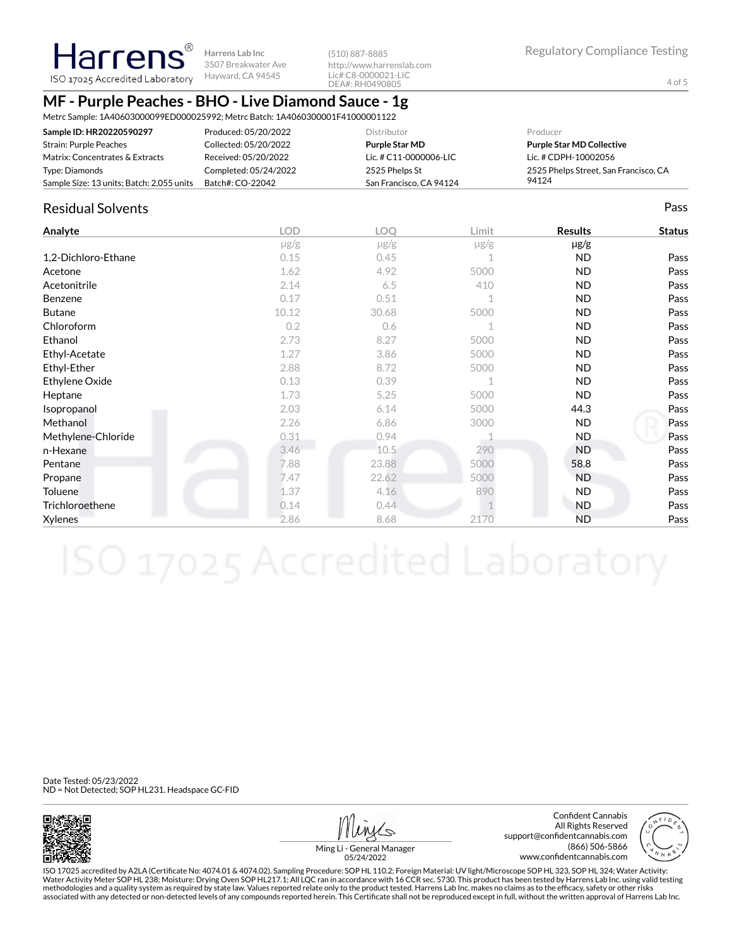**Harrens Lab Inc** 3507 Breakwater Ave

(510) 887-8885 http://www.harrenslab.com Lic# C8-0000021-LIC DEA#: RH0490805

4 of 5

## **MF - Purple Peaches - BHO - Live Diamond Sauce - 1g**

Metrc Sample: 1A40603000099ED000025992; Metrc Batch: 1A4060300001F41000001122

| Sample ID: HR20220590297                  | Produced: 05/20/2022  | <b>Distributor</b>      | Producer                              |
|-------------------------------------------|-----------------------|-------------------------|---------------------------------------|
| Strain: Purple Peaches                    | Collected: 05/20/2022 | Purple Star MD          | <b>Purple Star MD Collective</b>      |
| Matrix: Concentrates & Extracts           | Received: 05/20/2022  | Lic. # C11-0000006-LIC  | Lic. # CDPH-10002056                  |
| Type: Diamonds                            | Completed: 05/24/2022 | 2525 Phelps St          | 2525 Phelps Street, San Francisco, CA |
| Sample Size: 13 units; Batch: 2,055 units | Batch#: CO-22042      | San Francisco, CA 94124 | 94124                                 |

### Residual Solvents Pass

| Analyte             | <b>LOD</b> | <b>LOO</b> | Limit       | <b>Results</b> | <b>Status</b> |
|---------------------|------------|------------|-------------|----------------|---------------|
|                     | $\mu$ g/g  | $\mu$ g/g  | $\mu$ g/g   | $\mu$ g/g      |               |
| 1,2-Dichloro-Ethane | 0.15       | 0.45       |             | <b>ND</b>      | Pass          |
| Acetone             | 1.62       | 4.92       | 5000        | ND.            | Pass          |
| Acetonitrile        | 2.14       | 6.5        | 410         | ND.            | Pass          |
| Benzene             | 0.17       | 0.51       | $\mathbf 1$ | ND.            | Pass          |
| <b>Butane</b>       | 10.12      | 30.68      | 5000        | ND.            | Pass          |
| Chloroform          | 0.2        | 0.6        |             | <b>ND</b>      | Pass          |
| Ethanol             | 2.73       | 8.27       | 5000        | <b>ND</b>      | Pass          |
| Ethyl-Acetate       | 1.27       | 3.86       | 5000        | <b>ND</b>      | Pass          |
| Ethyl-Ether         | 2.88       | 8.72       | 5000        | <b>ND</b>      | Pass          |
| Ethylene Oxide      | 0.13       | 0.39       | 1           | ND.            | Pass          |
| Heptane             | 1.73       | 5.25       | 5000        | ND.            | Pass          |
| Isopropanol         | 2.03       | 6.14       | 5000        | 44.3           | Pass          |
| Methanol            | 2.26       | 6.86       | 3000        | ND.            | Pass          |
| Methylene-Chloride  | 0.31       | 0.94       |             | ND.            | Pass          |
| n-Hexane            | 3.46       | 10.5       | 290         | <b>ND</b>      | Pass          |
| Pentane             | 7.88       | 23.88      | 5000        | 58.8           | Pass          |
| Propane             | 7.47       | 22.62      | 5000        | <b>ND</b>      | Pass          |
| Toluene             | 1.37       | 4.16       | 890         | <b>ND</b>      | Pass          |
| Trichloroethene     | 0.14       | 0.44       |             | ND.            | Pass          |
| Xylenes             | 2.86       | 8.68       | 2170        | <b>ND</b>      | Pass          |

Date Tested: 05/23/2022 ND = Not Detected; SOP HL231. Headspace GC-FID



Confident Cannabis All Rights Reserved support@confidentcannabis.com (866) 506-5866 www.confidentcannabis.com



Ming Li - General Manager 05/24/2022